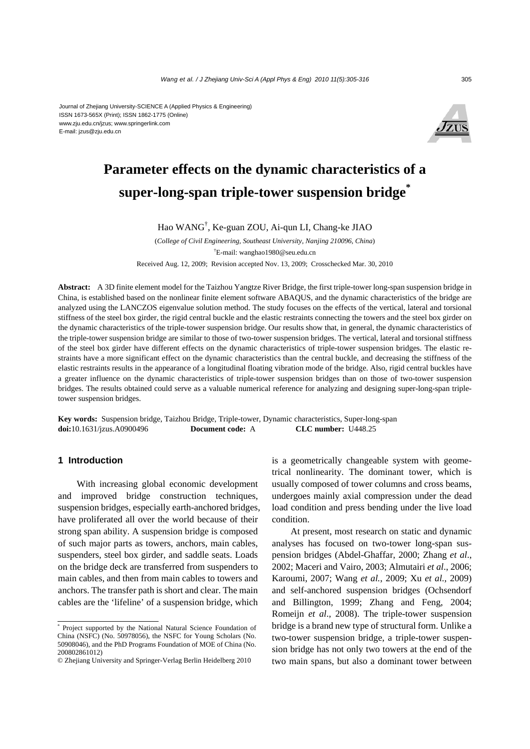#### Journal of Zhejiang University-SCIENCE A (Applied Physics & Engineering) ISSN 1673-565X (Print); ISSN 1862-1775 (Online) www.zju.edu.cn/jzus; www.springerlink.com E-mail: jzus@zju.edu.cn



# **Parameter effects on the dynamic characteristics of a super-long-span triple-tower suspension bridge\***

Hao WANG† , Ke-guan ZOU, Ai-qun LI, Chang-ke JIAO

(*College of Civil Engineering, Southeast University, Nanjing 210096, China*) † E-mail: wanghao1980@seu.edu.cn Received Aug. 12, 2009; Revision accepted Nov. 13, 2009; Crosschecked Mar. 30, 2010

**Abstract:** A 3D finite element model for the Taizhou Yangtze River Bridge, the first triple-tower long-span suspension bridge in China, is established based on the nonlinear finite element software ABAQUS, and the dynamic characteristics of the bridge are analyzed using the LANCZOS eigenvalue solution method. The study focuses on the effects of the vertical, lateral and torsional stiffness of the steel box girder, the rigid central buckle and the elastic restraints connecting the towers and the steel box girder on the dynamic characteristics of the triple-tower suspension bridge. Our results show that, in general, the dynamic characteristics of the triple-tower suspension bridge are similar to those of two-tower suspension bridges. The vertical, lateral and torsional stiffness of the steel box girder have different effects on the dynamic characteristics of triple-tower suspension bridges. The elastic restraints have a more significant effect on the dynamic characteristics than the central buckle, and decreasing the stiffness of the elastic restraints results in the appearance of a longitudinal floating vibration mode of the bridge. Also, rigid central buckles have a greater influence on the dynamic characteristics of triple-tower suspension bridges than on those of two-tower suspension bridges. The results obtained could serve as a valuable numerical reference for analyzing and designing super-long-span tripletower suspension bridges.

**Key words:** Suspension bridge, Taizhou Bridge, Triple-tower, Dynamic characteristics, Super-long-span **doi:**10.1631/jzus.A0900496 **Document code:** A **CLC number:** U448.25

## **1 Introduction**

With increasing global economic development and improved bridge construction techniques, suspension bridges, especially earth-anchored bridges, have proliferated all over the world because of their strong span ability. A suspension bridge is composed of such major parts as towers, anchors, main cables, suspenders, steel box girder, and saddle seats. Loads on the bridge deck are transferred from suspenders to main cables, and then from main cables to towers and anchors. The transfer path is short and clear. The main cables are the 'lifeline' of a suspension bridge, which

is a geometrically changeable system with geometrical nonlinearity. The dominant tower, which is usually composed of tower columns and cross beams, undergoes mainly axial compression under the dead load condition and press bending under the live load condition.

At present, most research on static and dynamic analyses has focused on two-tower long-span suspension bridges (Abdel-Ghaffar, 2000; Zhang *et al*., 2002; Maceri and Vairo, 2003; Almutairi *et al*., 2006; Karoumi, 2007; Wang *et al.*, 2009; Xu *et al.*, 2009) and self-anchored suspension bridges (Ochsendorf and Billington, 1999; Zhang and Feng, 2004; Romeijn *et al*., 2008). The triple-tower suspension bridge is a brand new type of structural form. Unlike a two-tower suspension bridge, a triple-tower suspension bridge has not only two towers at the end of the two main spans, but also a dominant tower between

<sup>\*</sup> Project supported by the National Natural Science Foundation of China (NSFC) (No. 50978056), the NSFC for Young Scholars (No. 50908046), and the PhD Programs Foundation of MOE of China (No. 200802861012)

<sup>©</sup> Zhejiang University and Springer-Verlag Berlin Heidelberg 2010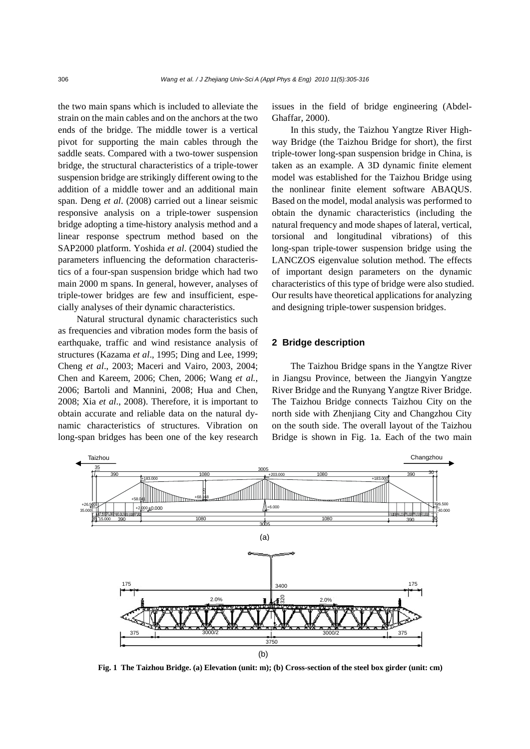the two main spans which is included to alleviate the strain on the main cables and on the anchors at the two ends of the bridge. The middle tower is a vertical pivot for supporting the main cables through the saddle seats. Compared with a two-tower suspension bridge, the structural characteristics of a triple-tower suspension bridge are strikingly different owing to the addition of a middle tower and an additional main span. Deng *et al*. (2008) carried out a linear seismic responsive analysis on a triple-tower suspension bridge adopting a time-history analysis method and a linear response spectrum method based on the SAP2000 platform. Yoshida *et al*. (2004) studied the parameters influencing the deformation characteristics of a four-span suspension bridge which had two main 2000 m spans. In general, however, analyses of triple-tower bridges are few and insufficient, especially analyses of their dynamic characteristics.

Natural structural dynamic characteristics such as frequencies and vibration modes form the basis of earthquake, traffic and wind resistance analysis of structures (Kazama *et al*., 1995; Ding and Lee, 1999; Cheng *et al*., 2003; Maceri and Vairo, 2003, 2004; Chen and Kareem, 2006; Chen, 2006; Wang *et al.*, 2006; Bartoli and Mannini, 2008; Hua and Chen, 2008; Xia *et al*., 2008). Therefore, it is important to obtain accurate and reliable data on the natural dynamic characteristics of structures. Vibration on long-span bridges has been one of the key research issues in the field of bridge engineering (Abdel-Ghaffar, 2000).

In this study, the Taizhou Yangtze River Highway Bridge (the Taizhou Bridge for short), the first triple-tower long-span suspension bridge in China, is taken as an example. A 3D dynamic finite element model was established for the Taizhou Bridge using the nonlinear finite element software ABAQUS. Based on the model, modal analysis was performed to obtain the dynamic characteristics (including the natural frequency and mode shapes of lateral, vertical, torsional and longitudinal vibrations) of this long-span triple-tower suspension bridge using the LANCZOS eigenvalue solution method. The effects of important design parameters on the dynamic characteristics of this type of bridge were also studied. Our results have theoretical applications for analyzing and designing triple-tower suspension bridges.

# **2 Bridge description**

The Taizhou Bridge spans in the Yangtze River in Jiangsu Province, between the Jiangyin Yangtze River Bridge and the Runyang Yangtze River Bridge. The Taizhou Bridge connects Taizhou City on the north side with Zhenjiang City and Changzhou City on the south side. The overall layout of the Taizhou Bridge is shown in Fig. 1a. Each of the two main



**Fig. 1 The Taizhou Bridge. (a) Elevation (unit: m); (b) Cross-section of the steel box girder (unit: cm)**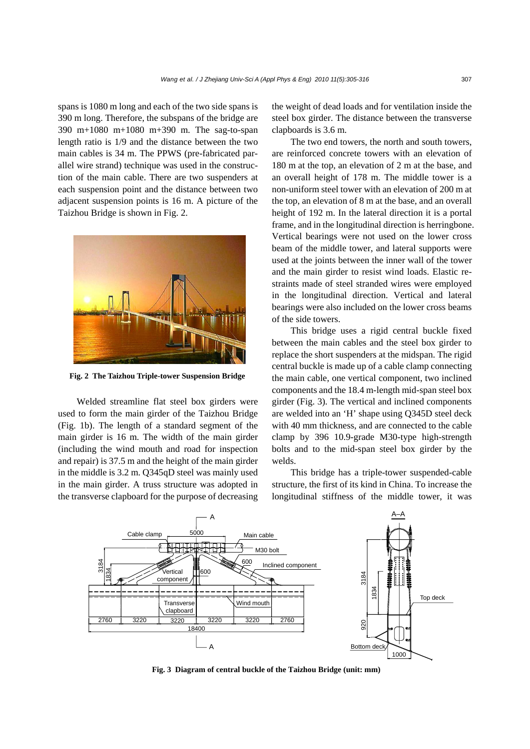spans is 1080 m long and each of the two side spans is 390 m long. Therefore, the subspans of the bridge are 390 m+1080 m+1080 m+390 m. The sag-to-span length ratio is 1/9 and the distance between the two main cables is 34 m. The PPWS (pre-fabricated parallel wire strand) technique was used in the construction of the main cable. There are two suspenders at each suspension point and the distance between two adjacent suspension points is 16 m. A picture of the Taizhou Bridge is shown in Fig. 2.



**Fig. 2 The Taizhou Triple-tower Suspension Bridge**

Welded streamline flat steel box girders were used to form the main girder of the Taizhou Bridge (Fig. 1b). The length of a standard segment of the main girder is 16 m. The width of the main girder (including the wind mouth and road for inspection and repair) is 37.5 m and the height of the main girder in the middle is 3.2 m. Q345qD steel was mainly used in the main girder. A truss structure was adopted in the transverse clapboard for the purpose of decreasing

the weight of dead loads and for ventilation inside the steel box girder. The distance between the transverse clapboards is 3.6 m.

The two end towers, the north and south towers, are reinforced concrete towers with an elevation of 180 m at the top, an elevation of 2 m at the base, and an overall height of 178 m. The middle tower is a non-uniform steel tower with an elevation of 200 m at the top, an elevation of 8 m at the base, and an overall height of 192 m. In the lateral direction it is a portal frame, and in the longitudinal direction is herringbone. Vertical bearings were not used on the lower cross beam of the middle tower, and lateral supports were used at the joints between the inner wall of the tower and the main girder to resist wind loads. Elastic restraints made of steel stranded wires were employed in the longitudinal direction. Vertical and lateral bearings were also included on the lower cross beams of the side towers.

This bridge uses a rigid central buckle fixed between the main cables and the steel box girder to replace the short suspenders at the midspan. The rigid central buckle is made up of a cable clamp connecting the main cable, one vertical component, two inclined components and the 18.4 m-length mid-span steel box girder (Fig. 3). The vertical and inclined components are welded into an 'H' shape using Q345D steel deck with 40 mm thickness, and are connected to the cable clamp by 396 10.9-grade M30-type high-strength bolts and to the mid-span steel box girder by the welds.

This bridge has a triple-tower suspended-cable structure, the first of its kind in China. To increase the longitudinal stiffness of the middle tower, it was



**Fig. 3 Diagram of central buckle of the Taizhou Bridge (unit: mm)**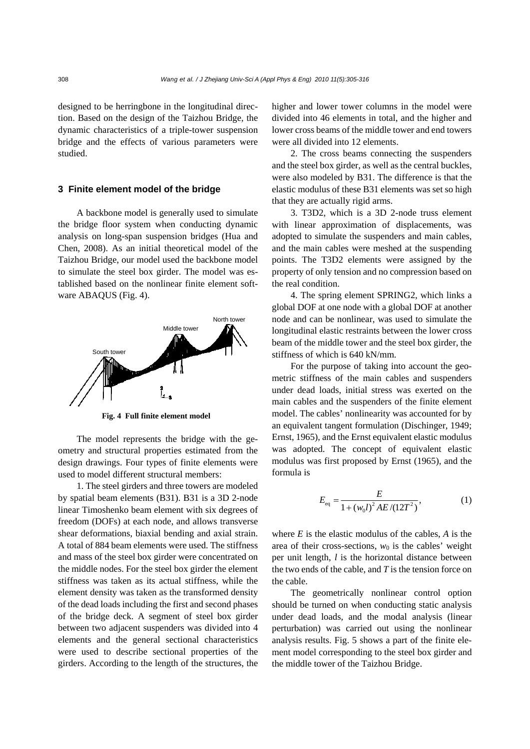designed to be herringbone in the longitudinal direction. Based on the design of the Taizhou Bridge, the dynamic characteristics of a triple-tower suspension bridge and the effects of various parameters were studied.

## **3 Finite element model of the bridge**

A backbone model is generally used to simulate the bridge floor system when conducting dynamic analysis on long-span suspension bridges (Hua and Chen, 2008). As an initial theoretical model of the Taizhou Bridge, our model used the backbone model to simulate the steel box girder. The model was established based on the nonlinear finite element software ABAQUS (Fig. 4).



**Fig. 4 Full finite element model**

The model represents the bridge with the geometry and structural properties estimated from the design drawings. Four types of finite elements were used to model different structural members:

1. The steel girders and three towers are modeled by spatial beam elements (B31). B31 is a 3D 2-node linear Timoshenko beam element with six degrees of freedom (DOFs) at each node, and allows transverse shear deformations, biaxial bending and axial strain. A total of 884 beam elements were used. The stiffness and mass of the steel box girder were concentrated on the middle nodes. For the steel box girder the element stiffness was taken as its actual stiffness, while the element density was taken as the transformed density of the dead loads including the first and second phases of the bridge deck. A segment of steel box girder between two adjacent suspenders was divided into 4 elements and the general sectional characteristics were used to describe sectional properties of the girders. According to the length of the structures, the higher and lower tower columns in the model were divided into 46 elements in total, and the higher and lower cross beams of the middle tower and end towers were all divided into 12 elements.

2. The cross beams connecting the suspenders and the steel box girder, as well as the central buckles, were also modeled by B31. The difference is that the elastic modulus of these B31 elements was set so high that they are actually rigid arms.

3. T3D2, which is a 3D 2-node truss element with linear approximation of displacements, was adopted to simulate the suspenders and main cables, and the main cables were meshed at the suspending points. The T3D2 elements were assigned by the property of only tension and no compression based on the real condition.

4. The spring element SPRING2, which links a global DOF at one node with a global DOF at another node and can be nonlinear, was used to simulate the longitudinal elastic restraints between the lower cross beam of the middle tower and the steel box girder, the stiffness of which is 640 kN/mm.

For the purpose of taking into account the geometric stiffness of the main cables and suspenders under dead loads, initial stress was exerted on the main cables and the suspenders of the finite element model. The cables' nonlinearity was accounted for by an equivalent tangent formulation (Dischinger, 1949; Ernst, 1965), and the Ernst equivalent elastic modulus was adopted. The concept of equivalent elastic modulus was first proposed by Ernst (1965), and the formula is

$$
E_{\text{eq}} = \frac{E}{1 + (w_0 l)^2 AE / (12T^2)},\tag{1}
$$

where *E* is the elastic modulus of the cables, *A* is the area of their cross-sections,  $w_0$  is the cables' weight per unit length, *l* is the horizontal distance between the two ends of the cable, and *T* is the tension force on the cable.

The geometrically nonlinear control option should be turned on when conducting static analysis under dead loads, and the modal analysis (linear perturbation) was carried out using the nonlinear analysis results. Fig. 5 shows a part of the finite element model corresponding to the steel box girder and the middle tower of the Taizhou Bridge.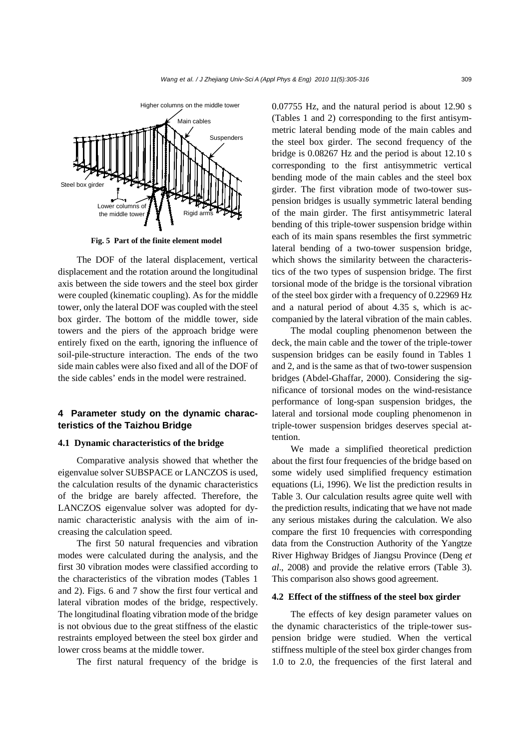

**Fig. 5 Part of the finite element model** 

The DOF of the lateral displacement, vertical displacement and the rotation around the longitudinal axis between the side towers and the steel box girder were coupled (kinematic coupling). As for the middle tower, only the lateral DOF was coupled with the steel box girder. The bottom of the middle tower, side towers and the piers of the approach bridge were entirely fixed on the earth, ignoring the influence of soil-pile-structure interaction. The ends of the two side main cables were also fixed and all of the DOF of the side cables' ends in the model were restrained.

# **4 Parameter study on the dynamic characteristics of the Taizhou Bridge**

## **4.1 Dynamic characteristics of the bridge**

Comparative analysis showed that whether the eigenvalue solver SUBSPACE or LANCZOS is used, the calculation results of the dynamic characteristics of the bridge are barely affected. Therefore, the LANCZOS eigenvalue solver was adopted for dynamic characteristic analysis with the aim of increasing the calculation speed.

The first 50 natural frequencies and vibration modes were calculated during the analysis, and the first 30 vibration modes were classified according to the characteristics of the vibration modes (Tables 1 and 2). Figs. 6 and 7 show the first four vertical and lateral vibration modes of the bridge, respectively. The longitudinal floating vibration mode of the bridge is not obvious due to the great stiffness of the elastic restraints employed between the steel box girder and lower cross beams at the middle tower.

The first natural frequency of the bridge is

0.07755 Hz, and the natural period is about 12.90 s (Tables 1 and 2) corresponding to the first antisymmetric lateral bending mode of the main cables and the steel box girder. The second frequency of the bridge is 0.08267 Hz and the period is about 12.10 s corresponding to the first antisymmetric vertical bending mode of the main cables and the steel box girder. The first vibration mode of two-tower suspension bridges is usually symmetric lateral bending of the main girder. The first antisymmetric lateral bending of this triple-tower suspension bridge within each of its main spans resembles the first symmetric lateral bending of a two-tower suspension bridge, which shows the similarity between the characteristics of the two types of suspension bridge. The first torsional mode of the bridge is the torsional vibration of the steel box girder with a frequency of 0.22969 Hz and a natural period of about 4.35 s, which is accompanied by the lateral vibration of the main cables.

The modal coupling phenomenon between the deck, the main cable and the tower of the triple-tower suspension bridges can be easily found in Tables 1 and 2, and is the same as that of two-tower suspension bridges (Abdel-Ghaffar, 2000). Considering the significance of torsional modes on the wind-resistance performance of long-span suspension bridges, the lateral and torsional mode coupling phenomenon in triple-tower suspension bridges deserves special attention.

We made a simplified theoretical prediction about the first four frequencies of the bridge based on some widely used simplified frequency estimation equations (Li, 1996). We list the prediction results in Table 3. Our calculation results agree quite well with the prediction results, indicating that we have not made any serious mistakes during the calculation. We also compare the first 10 frequencies with corresponding data from the Construction Authority of the Yangtze River Highway Bridges of Jiangsu Province (Deng *et al*., 2008) and provide the relative errors (Table 3). This comparison also shows good agreement.

#### **4.2 Effect of the stiffness of the steel box girder**

The effects of key design parameter values on the dynamic characteristics of the triple-tower suspension bridge were studied. When the vertical stiffness multiple of the steel box girder changes from 1.0 to 2.0, the frequencies of the first lateral and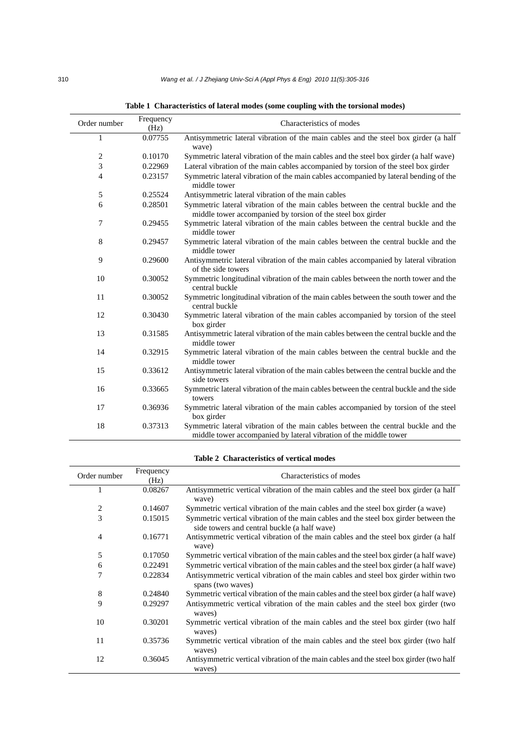| Order number   | Frequency<br>(Hz) | Characteristics of modes                                                                                                                               |  |  |
|----------------|-------------------|--------------------------------------------------------------------------------------------------------------------------------------------------------|--|--|
| 1              | 0.07755           | Antisymmetric lateral vibration of the main cables and the steel box girder (a half<br>wave)                                                           |  |  |
| 2              | 0.10170           | Symmetric lateral vibration of the main cables and the steel box girder (a half wave)                                                                  |  |  |
| 3              | 0.22969           | Lateral vibration of the main cables accompanied by torsion of the steel box girder                                                                    |  |  |
| $\overline{4}$ | 0.23157           | Symmetric lateral vibration of the main cables accompanied by lateral bending of the<br>middle tower                                                   |  |  |
| 5              | 0.25524           | Antisymmetric lateral vibration of the main cables                                                                                                     |  |  |
| 6              | 0.28501           | Symmetric lateral vibration of the main cables between the central buckle and the<br>middle tower accompanied by torsion of the steel box girder       |  |  |
| 7              | 0.29455           | Symmetric lateral vibration of the main cables between the central buckle and the<br>middle tower                                                      |  |  |
| 8              | 0.29457           | Symmetric lateral vibration of the main cables between the central buckle and the<br>middle tower                                                      |  |  |
| 9              | 0.29600           | Antisymmetric lateral vibration of the main cables accompanied by lateral vibration<br>of the side towers                                              |  |  |
| 10             | 0.30052           | Symmetric longitudinal vibration of the main cables between the north tower and the<br>central buckle                                                  |  |  |
| 11             | 0.30052           | Symmetric longitudinal vibration of the main cables between the south tower and the<br>central buckle                                                  |  |  |
| 12             | 0.30430           | Symmetric lateral vibration of the main cables accompanied by torsion of the steel<br>box girder                                                       |  |  |
| 13             | 0.31585           | Antisymmetric lateral vibration of the main cables between the central buckle and the<br>middle tower                                                  |  |  |
| 14             | 0.32915           | Symmetric lateral vibration of the main cables between the central buckle and the<br>middle tower                                                      |  |  |
| 15             | 0.33612           | Antisymmetric lateral vibration of the main cables between the central buckle and the<br>side towers                                                   |  |  |
| 16             | 0.33665           | Symmetric lateral vibration of the main cables between the central buckle and the side<br>towers                                                       |  |  |
| 17             | 0.36936           | Symmetric lateral vibration of the main cables accompanied by torsion of the steel<br>box girder                                                       |  |  |
| 18             | 0.37313           | Symmetric lateral vibration of the main cables between the central buckle and the<br>middle tower accompanied by lateral vibration of the middle tower |  |  |

**Table 1 Characteristics of lateral modes (some coupling with the torsional modes)** 

## **Table 2 Characteristics of vertical modes**

| Order number | Frequency<br>(Hz) | Characteristics of modes                                                                                                             |
|--------------|-------------------|--------------------------------------------------------------------------------------------------------------------------------------|
|              | 0.08267           | Antisymmetric vertical vibration of the main cables and the steel box girder (a half<br>wave)                                        |
| 2            | 0.14607           | Symmetric vertical vibration of the main cables and the steel box girder (a wave)                                                    |
| 3            | 0.15015           | Symmetric vertical vibration of the main cables and the steel box girder between the<br>side towers and central buckle (a half wave) |
| 4            | 0.16771           | Antisymmetric vertical vibration of the main cables and the steel box girder (a half<br>wave)                                        |
| 5            | 0.17050           | Symmetric vertical vibration of the main cables and the steel box girder (a half wave)                                               |
| 6            | 0.22491           | Symmetric vertical vibration of the main cables and the steel box girder (a half wave)                                               |
| 7            | 0.22834           | Antisymmetric vertical vibration of the main cables and steel box girder within two<br>spans (two waves)                             |
| 8            | 0.24840           | Symmetric vertical vibration of the main cables and the steel box girder (a half wave)                                               |
| 9            | 0.29297           | Antisymmetric vertical vibration of the main cables and the steel box girder (two<br>waves)                                          |
| 10           | 0.30201           | Symmetric vertical vibration of the main cables and the steel box girder (two half<br>waves)                                         |
| 11           | 0.35736           | Symmetric vertical vibration of the main cables and the steel box girder (two half<br>waves)                                         |
| 12           | 0.36045           | Antisymmetric vertical vibration of the main cables and the steel box girder (two half<br>waves)                                     |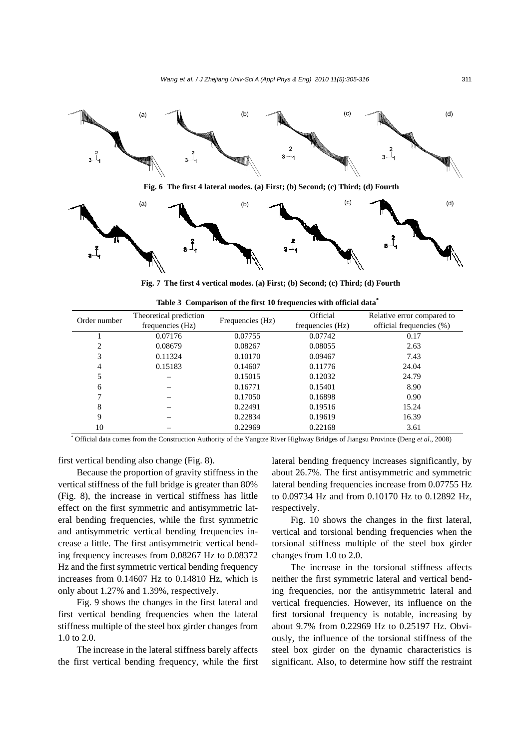

**Fig. 7 The first 4 vertical modes. (a) First; (b) Second; (c) Third; (d) Fourth** 

| Order number | Theoretical prediction | Frequencies (Hz) | Official         | Relative error compared to |
|--------------|------------------------|------------------|------------------|----------------------------|
|              | frequencies (Hz)       |                  | frequencies (Hz) | official frequencies (%)   |
|              | 0.07176                | 0.07755          | 0.07742          | 0.17                       |
| 2            | 0.08679                | 0.08267          | 0.08055          | 2.63                       |
| 3            | 0.11324                | 0.10170          | 0.09467          | 7.43                       |
| 4            | 0.15183                | 0.14607          | 0.11776          | 24.04                      |
|              |                        | 0.15015          | 0.12032          | 24.79                      |
| 6            |                        | 0.16771          | 0.15401          | 8.90                       |
|              |                        | 0.17050          | 0.16898          | 0.90                       |
| 8            |                        | 0.22491          | 0.19516          | 15.24                      |
| 9            |                        | 0.22834          | 0.19619          | 16.39                      |
| 10           |                        | 0.22969          | 0.22168          | 3.61                       |

**Table 3 Comparison of the first 10 frequencies with official data\***

\* Official data comes from the Construction Authority of the Yangtze River Highway Bridges of Jiangsu Province (Deng *et al*., 2008)

first vertical bending also change (Fig. 8).

Because the proportion of gravity stiffness in the vertical stiffness of the full bridge is greater than 80% (Fig. 8), the increase in vertical stiffness has little effect on the first symmetric and antisymmetric lateral bending frequencies, while the first symmetric and antisymmetric vertical bending frequencies increase a little. The first antisymmetric vertical bending frequency increases from 0.08267 Hz to 0.08372 Hz and the first symmetric vertical bending frequency increases from 0.14607 Hz to 0.14810 Hz, which is only about 1.27% and 1.39%, respectively.

Fig. 9 shows the changes in the first lateral and first vertical bending frequencies when the lateral stiffness multiple of the steel box girder changes from 1.0 to 2.0.

The increase in the lateral stiffness barely affects the first vertical bending frequency, while the first lateral bending frequency increases significantly, by about 26.7%. The first antisymmetric and symmetric lateral bending frequencies increase from 0.07755 Hz to 0.09734 Hz and from 0.10170 Hz to 0.12892 Hz, respectively.

Fig. 10 shows the changes in the first lateral, vertical and torsional bending frequencies when the torsional stiffness multiple of the steel box girder changes from 1.0 to 2.0.

The increase in the torsional stiffness affects neither the first symmetric lateral and vertical bending frequencies, nor the antisymmetric lateral and vertical frequencies. However, its influence on the first torsional frequency is notable, increasing by about 9.7% from 0.22969 Hz to 0.25197 Hz. Obviously, the influence of the torsional stiffness of the steel box girder on the dynamic characteristics is significant. Also, to determine how stiff the restraint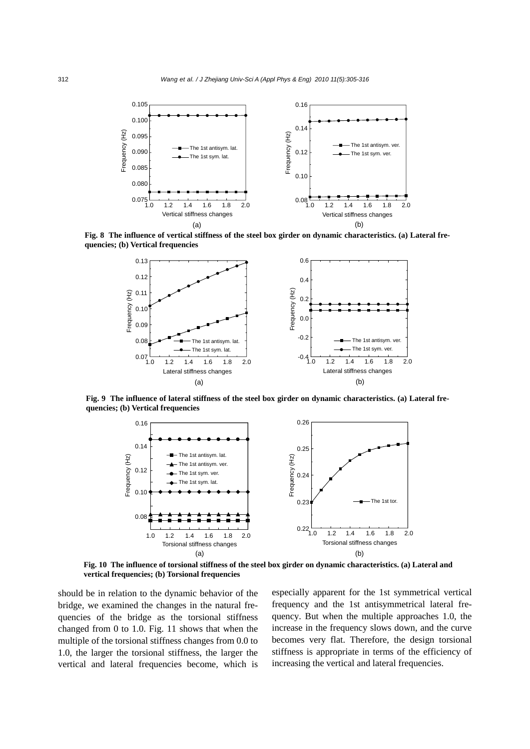

**Fig. 8 The influence of vertical stiffness of the steel box girder on dynamic characteristics. (a) Lateral fre-**



**Fig. 9 The influence of lateral stiffness of the steel box girder on dynamic characteristics. (a) Lateral frequencies; (b) Vertical frequencies** 



**Fig. 10 The influence of torsional stiffness of the steel box girder on dynamic characteristics. (a) Lateral and vertical frequencies; (b) Torsional frequencies** 

should be in relation to the dynamic behavior of the bridge, we examined the changes in the natural frequencies of the bridge as the torsional stiffness changed from 0 to 1.0. Fig. 11 shows that when the multiple of the torsional stiffness changes from 0.0 to 1.0, the larger the torsional stiffness, the larger the vertical and lateral frequencies become, which is especially apparent for the 1st symmetrical vertical frequency and the 1st antisymmetrical lateral frequency. But when the multiple approaches 1.0, the increase in the frequency slows down, and the curve becomes very flat. Therefore, the design torsional stiffness is appropriate in terms of the efficiency of increasing the vertical and lateral frequencies.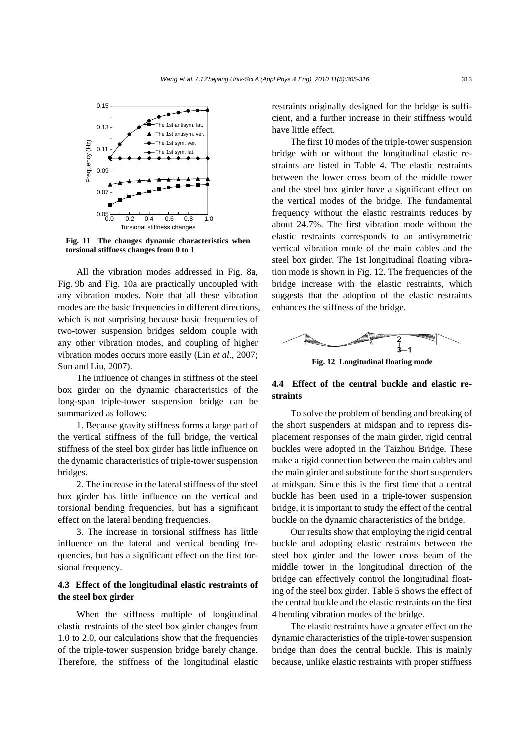

**Fig. 11 The changes dynamic characteristics when torsional stiffness changes from 0 to 1** 

All the vibration modes addressed in Fig. 8a, Fig. 9b and Fig. 10a are practically uncoupled with any vibration modes. Note that all these vibration modes are the basic frequencies in different directions. which is not surprising because basic frequencies of two-tower suspension bridges seldom couple with any other vibration modes, and coupling of higher vibration modes occurs more easily (Lin *et al*., 2007; Sun and Liu, 2007).

The influence of changes in stiffness of the steel box girder on the dynamic characteristics of the long-span triple-tower suspension bridge can be summarized as follows:

1. Because gravity stiffness forms a large part of the vertical stiffness of the full bridge, the vertical stiffness of the steel box girder has little influence on the dynamic characteristics of triple-tower suspension bridges.

2. The increase in the lateral stiffness of the steel box girder has little influence on the vertical and torsional bending frequencies, but has a significant effect on the lateral bending frequencies.

3. The increase in torsional stiffness has little influence on the lateral and vertical bending frequencies, but has a significant effect on the first torsional frequency.

# **4.3 Effect of the longitudinal elastic restraints of the steel box girder**

When the stiffness multiple of longitudinal elastic restraints of the steel box girder changes from 1.0 to 2.0, our calculations show that the frequencies of the triple-tower suspension bridge barely change. Therefore, the stiffness of the longitudinal elastic

restraints originally designed for the bridge is sufficient, and a further increase in their stiffness would have little effect.

The first 10 modes of the triple-tower suspension bridge with or without the longitudinal elastic restraints are listed in Table 4. The elastic restraints between the lower cross beam of the middle tower and the steel box girder have a significant effect on the vertical modes of the bridge. The fundamental frequency without the elastic restraints reduces by about 24.7%. The first vibration mode without the elastic restraints corresponds to an antisymmetric vertical vibration mode of the main cables and the steel box girder. The 1st longitudinal floating vibration mode is shown in Fig. 12. The frequencies of the bridge increase with the elastic restraints, which suggests that the adoption of the elastic restraints enhances the stiffness of the bridge.



**Fig. 12 Longitudinal floating mode** 

# **4.4 Effect of the central buckle and elastic restraints**

To solve the problem of bending and breaking of the short suspenders at midspan and to repress displacement responses of the main girder, rigid central buckles were adopted in the Taizhou Bridge. These make a rigid connection between the main cables and the main girder and substitute for the short suspenders at midspan. Since this is the first time that a central buckle has been used in a triple-tower suspension bridge, it is important to study the effect of the central buckle on the dynamic characteristics of the bridge.

Our results show that employing the rigid central buckle and adopting elastic restraints between the steel box girder and the lower cross beam of the middle tower in the longitudinal direction of the bridge can effectively control the longitudinal floating of the steel box girder. Table 5 shows the effect of the central buckle and the elastic restraints on the first 4 bending vibration modes of the bridge.

The elastic restraints have a greater effect on the dynamic characteristics of the triple-tower suspension bridge than does the central buckle. This is mainly because, unlike elastic restraints with proper stiffness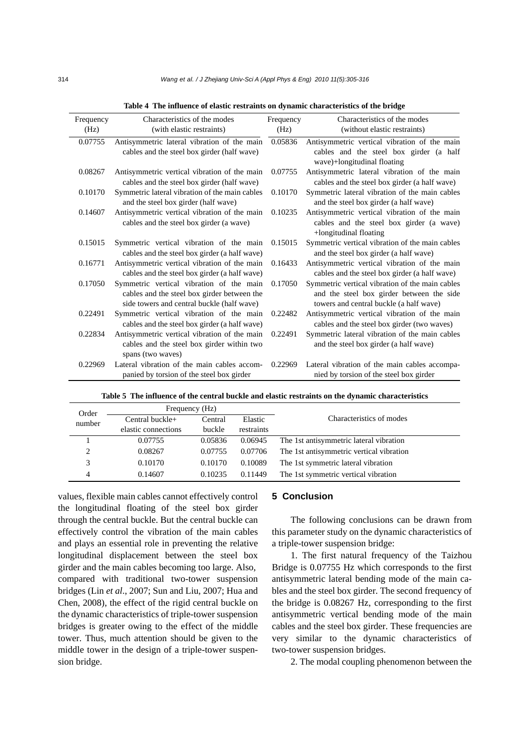| Frequency | Characteristics of the modes                                                                                                          | Frequency | Characteristics of the modes                                                                                                            |
|-----------|---------------------------------------------------------------------------------------------------------------------------------------|-----------|-----------------------------------------------------------------------------------------------------------------------------------------|
| (Hz)      | (with elastic restraints)                                                                                                             | (Hz)      | (without elastic restraints)                                                                                                            |
| 0.07755   | Antisymmetric lateral vibration of the main                                                                                           | 0.05836   | Antisymmetric vertical vibration of the main                                                                                            |
|           | cables and the steel box girder (half wave)                                                                                           |           | cables and the steel box girder (a half<br>wave)+longitudinal floating                                                                  |
| 0.08267   | Antisymmetric vertical vibration of the main<br>cables and the steel box girder (half wave)                                           | 0.07755   | Antisymmetric lateral vibration of the main<br>cables and the steel box girder (a half wave)                                            |
| 0.10170   | Symmetric lateral vibration of the main cables<br>and the steel box girder (half wave)                                                | 0.10170   | Symmetric lateral vibration of the main cables<br>and the steel box girder (a half wave)                                                |
| 0.14607   | Antisymmetric vertical vibration of the main<br>cables and the steel box girder (a wave)                                              | 0.10235   | Antisymmetric vertical vibration of the main<br>cables and the steel box girder (a wave)<br>+longitudinal floating                      |
| 0.15015   | Symmetric vertical vibration of the main<br>cables and the steel box girder (a half wave)                                             | 0.15015   | Symmetric vertical vibration of the main cables<br>and the steel box girder (a half wave)                                               |
| 0.16771   | Antisymmetric vertical vibration of the main<br>cables and the steel box girder (a half wave)                                         | 0.16433   | Antisymmetric vertical vibration of the main<br>cables and the steel box girder (a half wave)                                           |
| 0.17050   | Symmetric vertical vibration of the main<br>cables and the steel box girder between the<br>side towers and central buckle (half wave) | 0.17050   | Symmetric vertical vibration of the main cables<br>and the steel box girder between the side<br>towers and central buckle (a half wave) |
| 0.22491   | Symmetric vertical vibration of the main<br>cables and the steel box girder (a half wave)                                             | 0.22482   | Antisymmetric vertical vibration of the main<br>cables and the steel box girder (two waves)                                             |
| 0.22834   | Antisymmetric vertical vibration of the main<br>cables and the steel box girder within two<br>spans (two waves)                       | 0.22491   | Symmetric lateral vibration of the main cables<br>and the steel box girder (a half wave)                                                |
| 0.22969   | Lateral vibration of the main cables accom-<br>panied by torsion of the steel box girder                                              | 0.22969   | Lateral vibration of the main cables accompa-<br>nied by torsion of the steel box girder                                                |

**Table 4 The influence of elastic restraints on dynamic characteristics of the bridge** 

**Table 5 The influence of the central buckle and elastic restraints on the dynamic characteristics** 

| Order  | Frequency (Hz)      |         |            |                                          |
|--------|---------------------|---------|------------|------------------------------------------|
| number | Central buckle $+$  | Central | Elastic    | Characteristics of modes                 |
|        | elastic connections | buckle  | restraints |                                          |
|        | 0.07755             | 0.05836 | 0.06945    | The 1st antisymmetric lateral vibration  |
|        | 0.08267             | 0.07755 | 0.07706    | The 1st antisymmetric vertical vibration |
|        | 0.10170             | 0.10170 | 0.10089    | The 1st symmetric lateral vibration      |
| 4      | 0.14607             | 0.10235 | 0.11449    | The 1st symmetric vertical vibration     |

values, flexible main cables cannot effectively control the longitudinal floating of the steel box girder through the central buckle. But the central buckle can effectively control the vibration of the main cables and plays an essential role in preventing the relative longitudinal displacement between the steel box girder and the main cables becoming too large. Also, compared with traditional two-tower suspension bridges (Lin *et al*., 2007; Sun and Liu, 2007; Hua and Chen, 2008), the effect of the rigid central buckle on the dynamic characteristics of triple-tower suspension bridges is greater owing to the effect of the middle tower. Thus, much attention should be given to the middle tower in the design of a triple-tower suspension bridge.

## **5 Conclusion**

The following conclusions can be drawn from this parameter study on the dynamic characteristics of a triple-tower suspension bridge:

1. The first natural frequency of the Taizhou Bridge is 0.07755 Hz which corresponds to the first antisymmetric lateral bending mode of the main cables and the steel box girder. The second frequency of the bridge is 0.08267 Hz, corresponding to the first antisymmetric vertical bending mode of the main cables and the steel box girder. These frequencies are very similar to the dynamic characteristics of two-tower suspension bridges.

2. The modal coupling phenomenon between the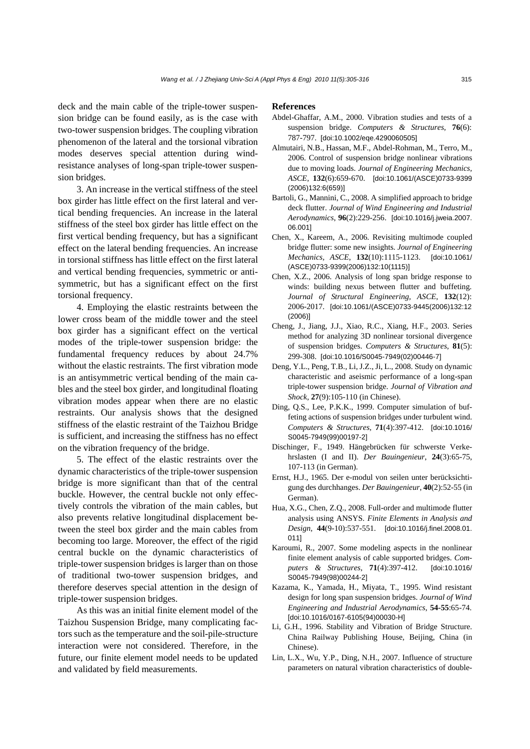deck and the main cable of the triple-tower suspension bridge can be found easily, as is the case with two-tower suspension bridges. The coupling vibration phenomenon of the lateral and the torsional vibration modes deserves special attention during windresistance analyses of long-span triple-tower suspension bridges.

3. An increase in the vertical stiffness of the steel box girder has little effect on the first lateral and vertical bending frequencies. An increase in the lateral stiffness of the steel box girder has little effect on the first vertical bending frequency, but has a significant effect on the lateral bending frequencies. An increase in torsional stiffness has little effect on the first lateral and vertical bending frequencies, symmetric or antisymmetric, but has a significant effect on the first torsional frequency.

4. Employing the elastic restraints between the lower cross beam of the middle tower and the steel box girder has a significant effect on the vertical modes of the triple-tower suspension bridge: the fundamental frequency reduces by about 24.7% without the elastic restraints. The first vibration mode is an antisymmetric vertical bending of the main cables and the steel box girder, and longitudinal floating vibration modes appear when there are no elastic restraints. Our analysis shows that the designed stiffness of the elastic restraint of the Taizhou Bridge is sufficient, and increasing the stiffness has no effect on the vibration frequency of the bridge.

5. The effect of the elastic restraints over the dynamic characteristics of the triple-tower suspension bridge is more significant than that of the central buckle. However, the central buckle not only effectively controls the vibration of the main cables, but also prevents relative longitudinal displacement between the steel box girder and the main cables from becoming too large. Moreover, the effect of the rigid central buckle on the dynamic characteristics of triple-tower suspension bridges is larger than on those of traditional two-tower suspension bridges, and therefore deserves special attention in the design of triple-tower suspension bridges.

As this was an initial finite element model of the Taizhou Suspension Bridge, many complicating factors such as the temperature and the soil-pile-structure interaction were not considered. Therefore, in the future, our finite element model needs to be updated and validated by field measurements.

#### **References**

- Abdel-Ghaffar, A.M., 2000. Vibration studies and tests of a suspension bridge. *Computers & Structures*, **76**(6): 787-797. [doi:10.1002/eqe.4290060505]
- Almutairi, N.B., Hassan, M.F., Abdel-Rohman, M., Terro, M., 2006. Control of suspension bridge nonlinear vibrations due to moving loads. *Journal of Engineering Mechanics, ASCE*, **132**(6):659-670. [doi:10.1061/(ASCE)0733-9399 (2006)132:6(659)]
- Bartoli, G., Mannini, C., 2008. A simplified approach to bridge deck flutter. *Journal of Wind Engineering and Industrial Aerodynamics*, **96**(2):229-256. [doi:10.1016/j.jweia.2007. 06.001]
- Chen, X., Kareem, A., 2006. Revisiting multimode coupled bridge flutter: some new insights. *Journal of Engineering Mechanics, ASCE*, **132**(10):1115-1123. [doi:10.1061/ (ASCE)0733-9399(2006)132:10(1115)]
- Chen, X.Z., 2006. Analysis of long span bridge response to winds: building nexus between flutter and buffeting. *Journal of Structural Engineering, ASCE*, **132**(12): 2006-2017. [doi:10.1061/(ASCE)0733-9445(2006)132:12 (2006)]
- Cheng, J., Jiang, J.J., Xiao, R.C., Xiang, H.F., 2003. Series method for analyzing 3D nonlinear torsional divergence of suspension bridges. *Computers & Structures*, **81**(5): 299-308. [doi:10.1016/S0045-7949(02)00446-7]
- Deng, Y.L., Peng, T.B., Li, J.Z., Ji, L., 2008. Study on dynamic characteristic and aseismic performance of a long-span triple-tower suspension bridge. *Journal of Vibration and Shock*, **27**(9):105-110 (in Chinese).
- Ding, Q.S., Lee, P.K.K., 1999. Computer simulation of buffeting actions of suspension bridges under turbulent wind. *Computers & Structures*, **71**(4):397-412. [doi:10.1016/ S0045-7949(99)00197-2]
- Dischinger, F., 1949. Hängebrücken für schwerste Verkehrslasten (I and II). *Der Bauingenieur*, **24**(3):65-75, 107-113 (in German).
- Ernst, H.J., 1965. Der e-modul von seilen unter berücksichtigung des durchhanges. *Der Bauingenieur*, **40**(2):52-55 (in German).
- Hua, X.G., Chen, Z.Q., 2008. Full-order and multimode flutter analysis using ANSYS. *Finite Elements in Analysis and Design*, **44**(9-10):537-551. [doi:10.1016/j.finel.2008.01. 011]
- Karoumi, R., 2007. Some modeling aspects in the nonlinear finite element analysis of cable supported bridges. *Computers & Structures*, **71**(4):397-412. [doi:10.1016/ S0045-7949(98)00244-2]
- Kazama, K., Yamada, H., Miyata, T., 1995. Wind resistant design for long span suspension bridges. *Journal of Wind Engineering and Industrial Aerodynamics*, **54-55**:65-74. [doi:10.1016/0167-6105(94)00030-H]
- Li, G.H., 1996. Stability and Vibration of Bridge Structure. China Railway Publishing House, Beijing, China (in Chinese).
- Lin, L.X., Wu, Y.P., Ding, N.H., 2007. Influence of structure parameters on natural vibration characteristics of double-